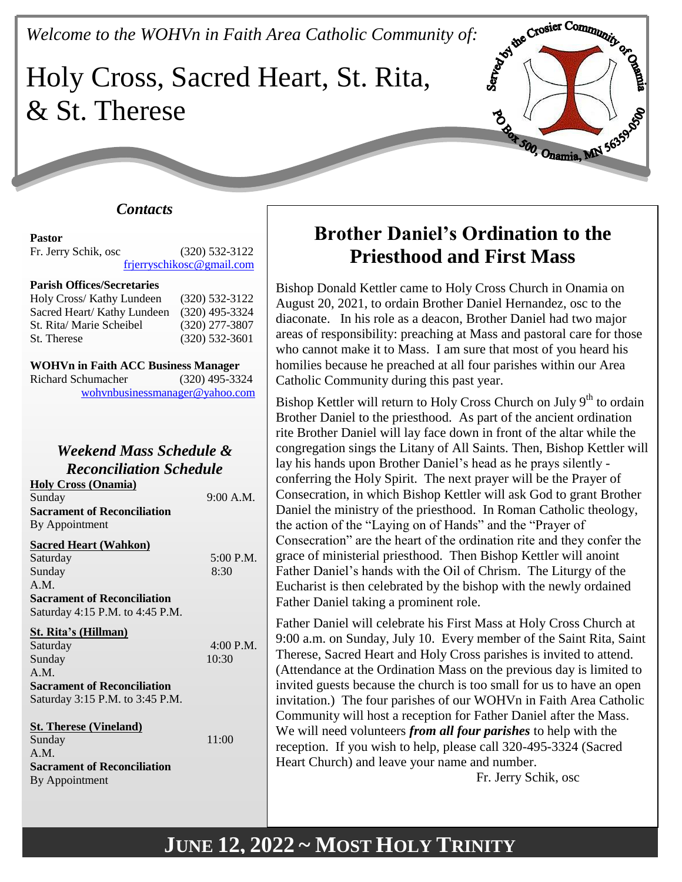# *Welcome to the WOHVn in Faith Area Catholic Community of:*<br>Holy Cross, Sacred Hearth Community of: Holy Cross, Sacred Heart, St. Rita, & St. Therese



### *Contacts*

# **Pastor**

Fr. Jerry Schik, osc (320) 532-3122 [frjerryschikosc@gmail.com](mailto:frjerryschikosc@gmail.com)

#### **Parish Offices/Secretaries**

| Holy Cross/ Kathy Lundeen   | $(320)$ 532-3122 |
|-----------------------------|------------------|
| Sacred Heart/ Kathy Lundeen | $(320)$ 495-3324 |
| St. Rita/ Marie Scheibel    | $(320)$ 277-3807 |
| St. Therese                 | $(320)$ 532-3601 |

| <b>WOHVn in Faith ACC Business Manager</b> |  |
|--------------------------------------------|--|
|                                            |  |

Richard Schumacher (320) 495-3324 [wohvnbusinessmanager@yahoo.com](mailto:wohvnbusinessmanager@yahoo.com)

### *Weekend Mass Schedule & Reconciliation Schedule*

| <b>Holy Cross (Onamia)</b>         |           |
|------------------------------------|-----------|
| Sunday                             | 9:00 A.M. |
| <b>Sacrament of Reconciliation</b> |           |
| By Appointment                     |           |
|                                    |           |

#### **Sacred Heart (Wahkon)**

| $5:00$ P.M. |
|-------------|
| 8:30        |
|             |
|             |
|             |
|             |
| 4:00 P.M.   |
| 10:30       |
|             |
|             |
|             |
|             |
| 11:00       |
|             |
|             |
|             |
|             |

# **Brother Daniel's Ordination to the Priesthood and First Mass**

Bishop Donald Kettler came to Holy Cross Church in Onamia on August 20, 2021, to ordain Brother Daniel Hernandez, osc to the diaconate. In his role as a deacon, Brother Daniel had two major areas of responsibility: preaching at Mass and pastoral care for those who cannot make it to Mass. I am sure that most of you heard his homilies because he preached at all four parishes within our Area Catholic Community during this past year.

Bishop Kettler will return to Holy Cross Church on July 9<sup>th</sup> to ordain Brother Daniel to the priesthood. As part of the ancient ordination rite Brother Daniel will lay face down in front of the altar while the congregation sings the Litany of All Saints. Then, Bishop Kettler will lay his hands upon Brother Daniel's head as he prays silently conferring the Holy Spirit. The next prayer will be the Prayer of Consecration, in which Bishop Kettler will ask God to grant Brother Daniel the ministry of the priesthood. In Roman Catholic theology, the action of the "Laying on of Hands" and the "Prayer of Consecration" are the heart of the ordination rite and they confer the grace of ministerial priesthood. Then Bishop Kettler will anoint Father Daniel's hands with the Oil of Chrism. The Liturgy of the Eucharist is then celebrated by the bishop with the newly ordained Father Daniel taking a prominent role.

Father Daniel will celebrate his First Mass at Holy Cross Church at 9:00 a.m. on Sunday, July 10. Every member of the Saint Rita, Saint Therese, Sacred Heart and Holy Cross parishes is invited to attend. (Attendance at the Ordination Mass on the previous day is limited to invited guests because the church is too small for us to have an open invitation.) The four parishes of our WOHVn in Faith Area Catholic Community will host a reception for Father Daniel after the Mass. We will need volunteers *from all four parishes* to help with the reception. If you wish to help, please call 320-495-3324 (Sacred Heart Church) and leave your name and number.

Fr. Jerry Schik, osc

# **JUNE 12, 2022 ~ MOST HOLY TRINITY**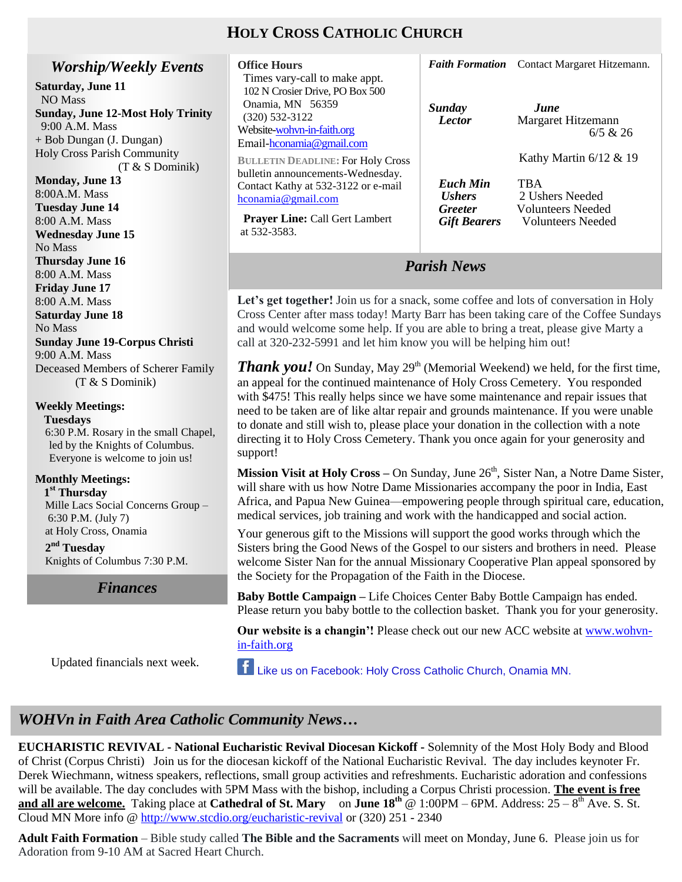# **HOLY CROSS CATHOLIC CHURCH**

### *Worship/Weekly Events*

**Saturday, June 11** NO Mass **Sunday, June 12-Most Holy Trinity**

 9:00 A.M. Mass + Bob Dungan (J. Dungan) Holy Cross Parish Community (T & S Dominik)

**Monday, June 13** 8:00A.M. Mass **Tuesday June 14** 8:00 A.M. Mass **Wednesday June 15** No Mass **Thursday June 16** 8:00 A.M. Mass **Friday June 17** 8:00 A.M. Mass **Saturday June 18** No Mass **Sunday June 19-Corpus Christi** 9:00 A.M. Mass Deceased Members of Scherer Family (T & S Dominik) **Weekly Meetings:** 

 **Tuesdays** 6:30 P.M. Rosary in the small Chapel, led by the Knights of Columbus. Everyone is welcome to join us!

### **Monthly Meetings:**

 **1 st Thursday**  Mille Lacs Social Concerns Group – 6:30 P.M. (July 7) at Holy Cross, Onamia

**2 nd Tuesday** Knights of Columbus 7:30 P.M.

> **Weekend of 04/07/13** *Finances Finances*

Updated financials next week.

| <b>Office Hours</b>                                       |                      | Faith Formation Contact Margaret Hitzemann. |
|-----------------------------------------------------------|----------------------|---------------------------------------------|
| Times vary-call to make appt.                             |                      |                                             |
| 102 N Crosier Drive, PO Box 500<br>Onamia, MN 56359       |                      |                                             |
| $(320)$ 532-3122                                          | Sunday               | June                                        |
| Website-wohvn-in-faith.org                                | <b>Lector</b>        | Margaret Hitzemann<br>6/5 & 26              |
| Email-hconamia@gmail.com                                  |                      |                                             |
| <b>BULLETIN DEADLINE: For Holy Cross</b>                  |                      | Kathy Martin $6/12 \& 19$                   |
| bulletin announcements-Wednesday.                         | <b>Euch Min</b>      | <b>TBA</b>                                  |
| Contact Kathy at 532-3122 or e-mail<br>hconamia@gmail.com | <i><b>Ushers</b></i> | 2 Ushers Needed                             |
|                                                           | <b>Greeter</b>       | <b>Volunteers</b> Needed                    |
| <b>Prayer Line:</b> Call Gert Lambert<br>at 532-3583.     | <b>Gift Bearers</b>  | <b>Volunteers</b> Needed                    |
|                                                           |                      |                                             |
|                                                           |                      |                                             |

Let's get together! Join us for a snack, some coffee and lots of conversation in Holy Cross Center after mass today! Marty Barr has been taking care of the Coffee Sundays and would welcome some help. If you are able to bring a treat, please give Marty a call at 320-232-5991 and let him know you will be helping him out!

*Parish News*

*Thank you!* On Sunday, May  $29<sup>th</sup>$  (Memorial Weekend) we held, for the first time, an appeal for the continued maintenance of Holy Cross Cemetery. You responded with \$475! This really helps since we have some maintenance and repair issues that need to be taken are of like altar repair and grounds maintenance. If you were unable to donate and still wish to, please place your donation in the collection with a note directing it to Holy Cross Cemetery. Thank you once again for your generosity and support!

**Mission Visit at Holy Cross** – On Sunday, June 26<sup>th</sup>, Sister Nan, a Notre Dame Sister, will share with us how Notre Dame Missionaries accompany the poor in India, East Africa, and Papua New Guinea—empowering people through spiritual care, education, medical services, job training and work with the handicapped and social action.

Your generous gift to the Missions will support the good works through which the Sisters bring the Good News of the Gospel to our sisters and brothers in need. Please welcome Sister Nan for the annual Missionary Cooperative Plan appeal sponsored by the Society for the Propagation of the Faith in the Diocese.

**Baby Bottle Campaign –** Life Choices Center Baby Bottle Campaign has ended. Please return you baby bottle to the collection basket. Thank you for your generosity.

**Our website is a changin'!** Please check out our new ACC website at [www.wohvn](http://www.wohvn-in-faith.org/)[in-faith.org](http://www.wohvn-in-faith.org/)

Like us on Facebook: Holy Cross Catholic Church, Onamia MN.

# **WOHVn in Faith Area Catholic Community News...**

**EUCHARISTIC REVIVAL - National Eucharistic Revival Diocesan Kickoff -** Solemnity of the Most Holy Body and Blood of Christ (Corpus Christi) Join us for the diocesan kickoff of the National Eucharistic Revival. The day includes keynoter Fr. Derek Wiechmann, witness speakers, reflections, small group activities and refreshments. Eucharistic adoration and confessions will be available. The day concludes with 5PM Mass with the bishop, including a Corpus Christi procession. **The event is free and all are welcome.** Taking place at **Cathedral of St. Mary** on **June 18<sup>th</sup>** @ 1:00PM – 6PM. Address:  $25 - 8$ <sup>th</sup> Ave. S. St. Cloud MN More info @<http://www.stcdio.org/eucharistic-revival> or (320) 251 - 2340

**Adult Faith Formation** – Bible study called **The Bible and the Sacraments** will meet on Monday, June 6. Please join us for Adoration from 9-10 AM at Sacred Heart Church.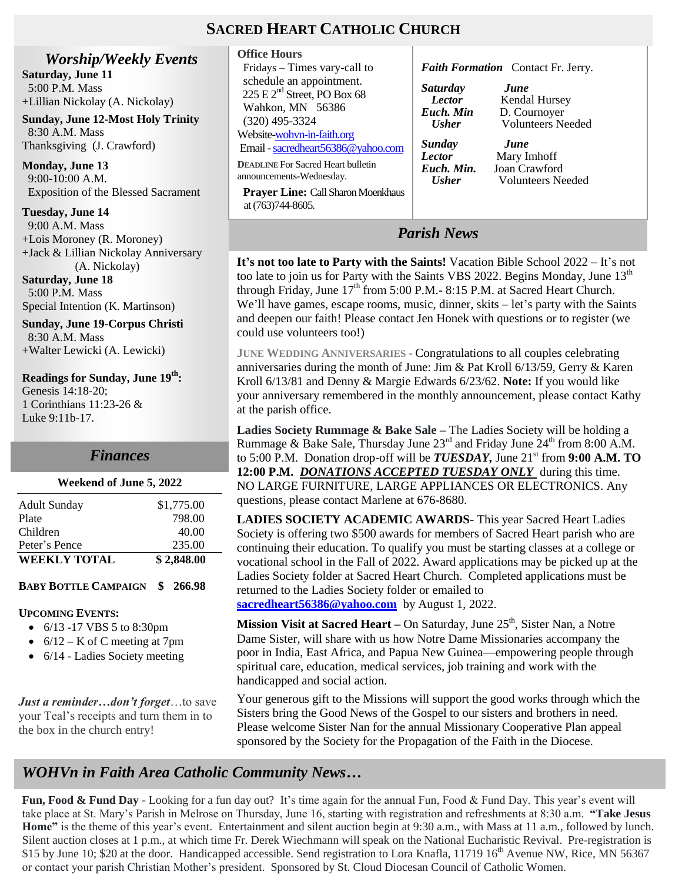### **SACRED HEART CATHOLIC CHURCH**

*Worship/Weekly Events* **Saturday, June 11** 5:00 P.M. Mass +Lillian Nickolay (A. Nickolay)

**Sunday, June 12-Most Holy Trinity** 8:30 A.M. Mass Thanksgiving (J. Crawford)

**Monday, June 13** 9:00-10:00 A.M. Exposition of the Blessed Sacrament

**Tuesday, June 14** 9:00 A.M. Mass +Lois Moroney (R. Moroney)

+Jack & Lillian Nickolay Anniversary (A. Nickolay) **Saturday, June 18**

 5:00 P.M. Mass Special Intention (K. Martinson)

**Sunday, June 19-Corpus Christi** 8:30 A.M. Mass +Walter Lewicki (A. Lewicki)

**Readings for Sunday, June 19 th :** Genesis 14:18-20; 1 Corinthians 11:23-26 & Luke 9:11b-17.

### *Finances*

# **Weekend of June 5, 2022**

| <b>WEEKLY TOTAL</b> | \$2,848.00 |
|---------------------|------------|
| Peter's Pence       | 235.00     |
| Children            | 40.00      |
| Plate               | 798.00     |
| <b>Adult Sunday</b> | \$1,775.00 |
|                     |            |

### **BABY BOTTLE CAMPAIGN \$ 266.98**

#### **UPCOMING EVENTS:**

- 6/13 -17 VBS 5 to 8:30pm
- $\bullet$  6/12 K of C meeting at 7pm
- 6/14 Ladies Society meeting

*Just a reminder…don't forget*…to save your Teal's receipts and turn them in to the box in the church entry!

| <b>Office Hours</b>                                                   |                                         |
|-----------------------------------------------------------------------|-----------------------------------------|
| Fridays – Times vary-call to                                          | <b>Faith F</b>                          |
| schedule an appointment.                                              | Saturda                                 |
| 225 E $2nd$ Street, PO Box 68                                         | Lecto                                   |
| Wahkon, MN 56386                                                      | Euch. 1                                 |
| $(320)$ 495-3324                                                      | <b>Ushe</b>                             |
| Website-wohyn-in-faith.org                                            |                                         |
| Email - sacredheart56386@yahoo.com                                    | Sunday                                  |
| <b>DEADLINE For Sacred Heart bulletin</b><br>announcements-Wednesday. | <b>Lector</b><br>Euch. 1<br><b>Ushe</b> |

 **Prayer Line:** Call Sharon Moenkhaus at (763)744-8605.

#### *Formation* Contact Fr. Jerry.

*Saturday June Pr* Kendal Hursey<br>*Lector Kendal Hursey Euch. Min* D. Cournoyer *r* Volunteers Needed

*Sunday June* **Mary Imhoff** *Min.* Joan Crawford *Usher* Volunteers Needed

*Parish News*

**It's not too late to Party with the Saints!** Vacation Bible School 2022 – It's not too late to join us for Party with the Saints VBS 2022. Begins Monday, June  $13<sup>th</sup>$ through Friday, June  $17<sup>th</sup>$  from 5:00 P.M.- 8:15 P.M. at Sacred Heart Church. We'll have games, escape rooms, music, dinner, skits – let's party with the Saints and deepen our faith! Please contact Jen Honek with questions or to register (we could use volunteers too!)

**JUNE WEDDING ANNIVERSARIES -** Congratulations to all couples celebrating anniversaries during the month of June: Jim & Pat Kroll 6/13/59, Gerry & Karen Kroll 6/13/81 and Denny & Margie Edwards 6/23/62. **Note:** If you would like your anniversary remembered in the monthly announcement, please contact Kathy at the parish office.

**Ladies Society Rummage & Bake Sale –** The Ladies Society will be holding a Rummage & Bake Sale, Thursday June  $23<sup>rd</sup>$  and Friday June  $24<sup>th</sup>$  from 8:00 A.M. to 5:00 P.M. Donation drop-off will be  $TUESDAY$ , June  $21<sup>st</sup>$  from 9:00 A.M. TO **12:00 P.M.** *DONATIONS ACCEPTED TUESDAY ONLY* during this time. NO LARGE FURNITURE, LARGE APPLIANCES OR ELECTRONICS. Any questions, please contact Marlene at 676-8680.

**LADIES SOCIETY ACADEMIC AWARDS**- This year Sacred Heart Ladies Society is offering two \$500 awards for members of Sacred Heart parish who are continuing their education. To qualify you must be starting classes at a college or vocational school in the Fall of 2022. Award applications may be picked up at the Ladies Society folder at Sacred Heart Church. Completed applications must be returned to the Ladies Society folder or emailed to **[sacredheart56386@yahoo.com](mailto:sacredheart56386@yahoo.com)** by August 1, 2022.

**Mission Visit at Sacred Heart** – On Saturday, June 25<sup>th</sup>, Sister Nan, a Notre Dame Sister, will share with us how Notre Dame Missionaries accompany the poor in India, East Africa, and Papua New Guinea—empowering people through spiritual care, education, medical services, job training and work with the

Your generous gift to the Missions will support the good works through which the Sisters bring the Good News of the Gospel to our sisters and brothers in need. Please welcome Sister Nan for the annual Missionary Cooperative Plan appeal sponsored by the Society for the Propagation of the Faith in the Diocese.

# *WOHVn in Faith Area Catholic Community News…*

 $\frac{c}{c}$ **Fun, Food & Fund Day** - Looking for a fun day out? It's time again for the annual Fun, Food & Fund Day. This year's event will take place at St. Mary's Parish in Melrose on Thursday, June 16, starting with registration and refreshments at 8:30 a.m. **"Take Jesus Home"** is the theme of this year's event. Entertainment and silent auction begin at 9:30 a.m., with Mass at 11 a.m., followed by lunch. Silent auction closes at 1 p.m., at which time Fr. Derek Wiechmann will speak on the National Eucharistic Revival. Pre-registration is \$15 by June 10; \$20 at the door. Handicapped accessible. Send registration to Lora Knafla, 11719  $16<sup>th</sup>$  Avenue NW, Rice, MN 56367 or contact your parish Christian Mother's president. Sponsored by St. Cloud Diocesan Council of Catholic Women.

handicapped and social action.